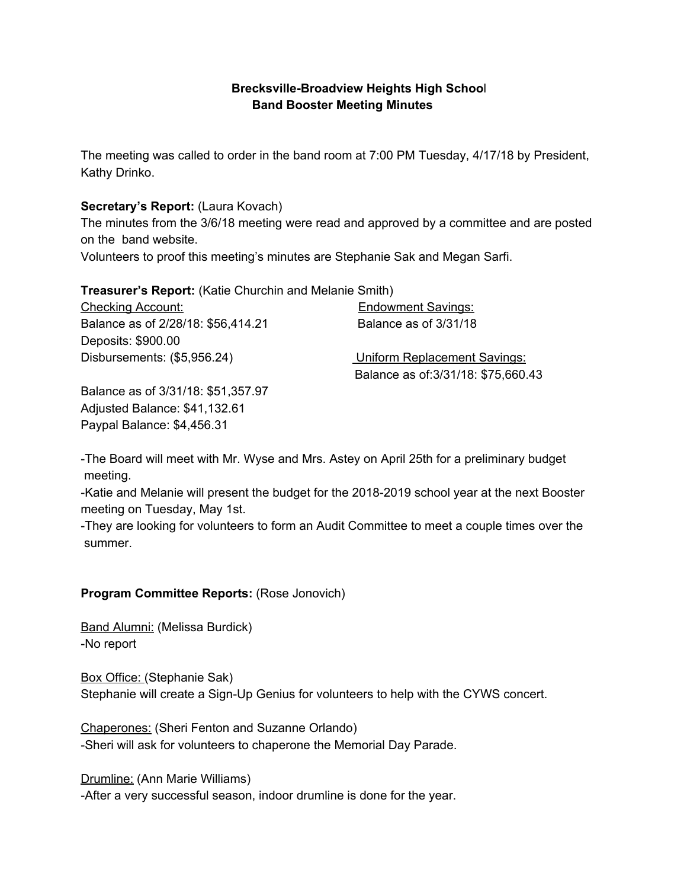## **Brecksville-Broadview Heights High Schoo**l **Band Booster Meeting Minutes**

The meeting was called to order in the band room at 7:00 PM Tuesday, 4/17/18 by President, Kathy Drinko.

## **Secretary's Report:** (Laura Kovach)

The minutes from the 3/6/18 meeting were read and approved by a committee and are posted on the band website.

Volunteers to proof this meeting's minutes are Stephanie Sak and Megan Sarfi.

**Treasurer's Report:** (Katie Churchin and Melanie Smith)

Checking Account: Endowment Savings: Balance as of 2/28/18: \$56,414.21 Balance as of 3/31/18 Deposits: \$900.00 Disbursements: (\$5,956.24) Uniform Replacement Savings:

Balance as of:3/31/18: \$75,660.43

Balance as of 3/31/18: \$51,357.97 Adjusted Balance: \$41,132.61 Paypal Balance: \$4,456.31

-The Board will meet with Mr. Wyse and Mrs. Astey on April 25th for a preliminary budget meeting.

-Katie and Melanie will present the budget for the 2018-2019 school year at the next Booster meeting on Tuesday, May 1st.

-They are looking for volunteers to form an Audit Committee to meet a couple times over the summer.

## **Program Committee Reports:** (Rose Jonovich)

Band Alumni: (Melissa Burdick) -No report

Box Office: (Stephanie Sak) Stephanie will create a Sign-Up Genius for volunteers to help with the CYWS concert.

Chaperones: (Sheri Fenton and Suzanne Orlando) -Sheri will ask for volunteers to chaperone the Memorial Day Parade.

Drumline: (Ann Marie Williams) -After a very successful season, indoor drumline is done for the year.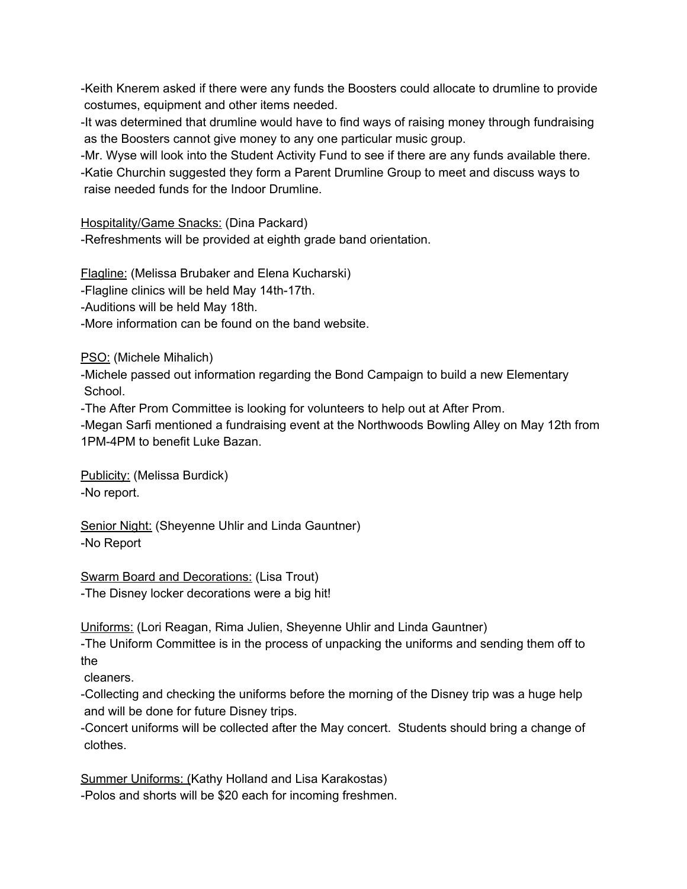-Keith Knerem asked if there were any funds the Boosters could allocate to drumline to provide costumes, equipment and other items needed.

-It was determined that drumline would have to find ways of raising money through fundraising as the Boosters cannot give money to any one particular music group.

-Mr. Wyse will look into the Student Activity Fund to see if there are any funds available there.

-Katie Churchin suggested they form a Parent Drumline Group to meet and discuss ways to raise needed funds for the Indoor Drumline.

Hospitality/Game Snacks: (Dina Packard)

-Refreshments will be provided at eighth grade band orientation.

Flagline: (Melissa Brubaker and Elena Kucharski)

-Flagline clinics will be held May 14th-17th.

-Auditions will be held May 18th.

-More information can be found on the band website.

PSO: (Michele Mihalich)

-Michele passed out information regarding the Bond Campaign to build a new Elementary School.

-The After Prom Committee is looking for volunteers to help out at After Prom.

-Megan Sarfi mentioned a fundraising event at the Northwoods Bowling Alley on May 12th from 1PM-4PM to benefit Luke Bazan.

Publicity: (Melissa Burdick) -No report.

Senior Night: (Sheyenne Uhlir and Linda Gauntner) -No Report

Swarm Board and Decorations: (Lisa Trout) -The Disney locker decorations were a big hit!

Uniforms: (Lori Reagan, Rima Julien, Sheyenne Uhlir and Linda Gauntner)

-The Uniform Committee is in the process of unpacking the uniforms and sending them off to the

cleaners.

-Collecting and checking the uniforms before the morning of the Disney trip was a huge help and will be done for future Disney trips.

-Concert uniforms will be collected after the May concert. Students should bring a change of clothes.

Summer Uniforms: (Kathy Holland and Lisa Karakostas) -Polos and shorts will be \$20 each for incoming freshmen.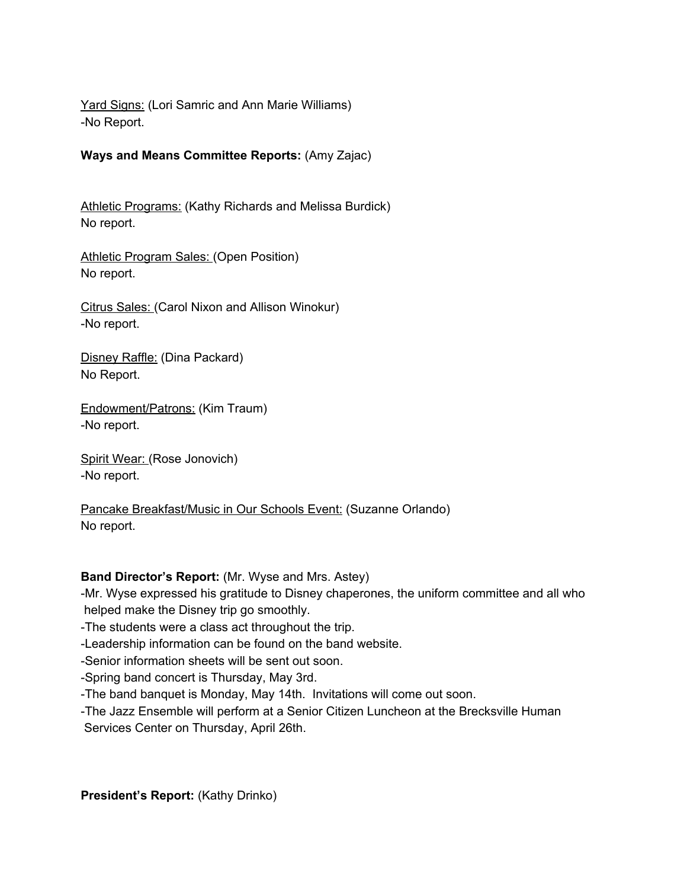Yard Signs: (Lori Samric and Ann Marie Williams) -No Report.

**Ways and Means Committee Reports:** (Amy Zajac)

Athletic Programs: (Kathy Richards and Melissa Burdick) No report.

Athletic Program Sales: (Open Position) No report.

Citrus Sales: (Carol Nixon and Allison Winokur) -No report.

Disney Raffle: (Dina Packard) No Report.

Endowment/Patrons: (Kim Traum) -No report.

Spirit Wear: (Rose Jonovich) -No report.

Pancake Breakfast/Music in Our Schools Event: (Suzanne Orlando) No report.

## **Band Director's Report:** (Mr. Wyse and Mrs. Astey)

-Mr. Wyse expressed his gratitude to Disney chaperones, the uniform committee and all who helped make the Disney trip go smoothly.

-The students were a class act throughout the trip.

-Leadership information can be found on the band website.

-Senior information sheets will be sent out soon.

-Spring band concert is Thursday, May 3rd.

-The band banquet is Monday, May 14th. Invitations will come out soon.

-The Jazz Ensemble will perform at a Senior Citizen Luncheon at the Brecksville Human Services Center on Thursday, April 26th.

**President's Report:** (Kathy Drinko)